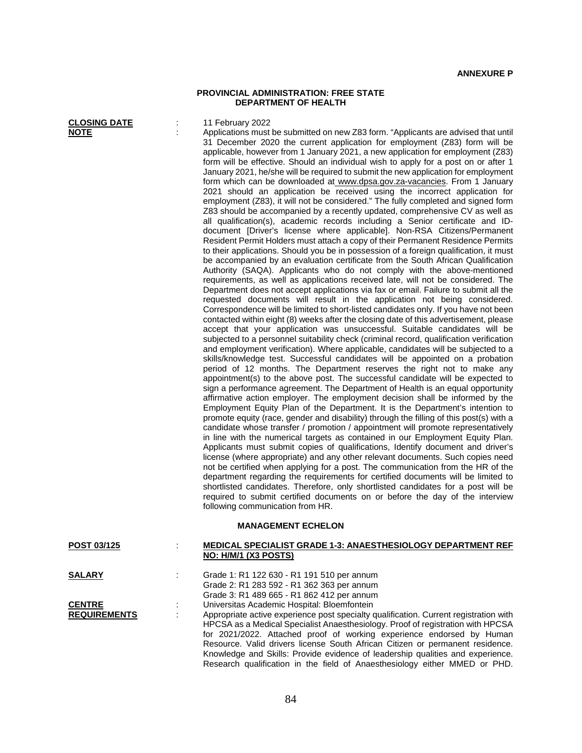## **PROVINCIAL ADMINISTRATION: FREE STATE DEPARTMENT OF HEALTH**

| <b>CLOSING DATE</b><br><b>NOTE</b>   |   | 11 February 2022<br>Applications must be submitted on new Z83 form. "Applicants are advised that until<br>31 December 2020 the current application for employment (Z83) form will be<br>applicable, however from 1 January 2021, a new application for employment (Z83)<br>form will be effective. Should an individual wish to apply for a post on or after 1<br>January 2021, he/she will be required to submit the new application for employment<br>form which can be downloaded at www.dpsa.gov.za-vacancies. From 1 January<br>2021 should an application be received using the incorrect application for<br>employment (Z83), it will not be considered." The fully completed and signed form<br>Z83 should be accompanied by a recently updated, comprehensive CV as well as<br>all qualification(s), academic records including a Senior certificate and ID-<br>document [Driver's license where applicable]. Non-RSA Citizens/Permanent<br>Resident Permit Holders must attach a copy of their Permanent Residence Permits<br>to their applications. Should you be in possession of a foreign qualification, it must<br>be accompanied by an evaluation certificate from the South African Qualification<br>Authority (SAQA). Applicants who do not comply with the above-mentioned<br>requirements, as well as applications received late, will not be considered. The<br>Department does not accept applications via fax or email. Failure to submit all the<br>requested documents will result in the application not being considered.<br>Correspondence will be limited to short-listed candidates only. If you have not been<br>contacted within eight (8) weeks after the closing date of this advertisement, please<br>accept that your application was unsuccessful. Suitable candidates will be<br>subjected to a personnel suitability check (criminal record, qualification verification<br>and employment verification). Where applicable, candidates will be subjected to a<br>skills/knowledge test. Successful candidates will be appointed on a probation<br>period of 12 months. The Department reserves the right not to make any<br>appointment(s) to the above post. The successful candidate will be expected to<br>sign a performance agreement. The Department of Health is an equal opportunity<br>affirmative action employer. The employment decision shall be informed by the<br>Employment Equity Plan of the Department. It is the Department's intention to<br>promote equity (race, gender and disability) through the filling of this post(s) with a<br>candidate whose transfer / promotion / appointment will promote representatively<br>in line with the numerical targets as contained in our Employment Equity Plan.<br>Applicants must submit copies of qualifications, Identify document and driver's<br>license (where appropriate) and any other relevant documents. Such copies need<br>not be certified when applying for a post. The communication from the HR of the<br>department regarding the requirements for certified documents will be limited to<br>shortlisted candidates. Therefore, only shortlisted candidates for a post will be<br>required to submit certified documents on or before the day of the interview<br>following communication from HR.<br><b>MANAGEMENT ECHELON</b> |
|--------------------------------------|---|---------------------------------------------------------------------------------------------------------------------------------------------------------------------------------------------------------------------------------------------------------------------------------------------------------------------------------------------------------------------------------------------------------------------------------------------------------------------------------------------------------------------------------------------------------------------------------------------------------------------------------------------------------------------------------------------------------------------------------------------------------------------------------------------------------------------------------------------------------------------------------------------------------------------------------------------------------------------------------------------------------------------------------------------------------------------------------------------------------------------------------------------------------------------------------------------------------------------------------------------------------------------------------------------------------------------------------------------------------------------------------------------------------------------------------------------------------------------------------------------------------------------------------------------------------------------------------------------------------------------------------------------------------------------------------------------------------------------------------------------------------------------------------------------------------------------------------------------------------------------------------------------------------------------------------------------------------------------------------------------------------------------------------------------------------------------------------------------------------------------------------------------------------------------------------------------------------------------------------------------------------------------------------------------------------------------------------------------------------------------------------------------------------------------------------------------------------------------------------------------------------------------------------------------------------------------------------------------------------------------------------------------------------------------------------------------------------------------------------------------------------------------------------------------------------------------------------------------------------------------------------------------------------------------------------------------------------------------------------------------------------------------------------------------------------------------------------------------------------------------------------------------------------------------------------------------------------------------------------------------------------------------------------------------------------------------------------------------------------|
| POST 03/125                          | ÷ | MEDICAL SPECIALIST GRADE 1-3: ANAESTHESIOLOGY DEPARTMENT REF<br>NO: H/M/1 (X3 POSTS)                                                                                                                                                                                                                                                                                                                                                                                                                                                                                                                                                                                                                                                                                                                                                                                                                                                                                                                                                                                                                                                                                                                                                                                                                                                                                                                                                                                                                                                                                                                                                                                                                                                                                                                                                                                                                                                                                                                                                                                                                                                                                                                                                                                                                                                                                                                                                                                                                                                                                                                                                                                                                                                                                                                                                                                                                                                                                                                                                                                                                                                                                                                                                                                                                                                                    |
| <b>SALARY</b>                        |   | Grade 1: R1 122 630 - R1 191 510 per annum<br>Grade 2: R1 283 592 - R1 362 363 per annum<br>Grade 3: R1 489 665 - R1 862 412 per annum                                                                                                                                                                                                                                                                                                                                                                                                                                                                                                                                                                                                                                                                                                                                                                                                                                                                                                                                                                                                                                                                                                                                                                                                                                                                                                                                                                                                                                                                                                                                                                                                                                                                                                                                                                                                                                                                                                                                                                                                                                                                                                                                                                                                                                                                                                                                                                                                                                                                                                                                                                                                                                                                                                                                                                                                                                                                                                                                                                                                                                                                                                                                                                                                                  |
| <b>CENTRE</b><br><b>REQUIREMENTS</b> |   | Universitas Academic Hospital: Bloemfontein<br>Appropriate active experience post specialty qualification. Current registration with<br>HPCSA as a Medical Specialist Anaesthesiology. Proof of registration with HPCSA<br>for 2021/2022. Attached proof of working experience endorsed by Human                                                                                                                                                                                                                                                                                                                                                                                                                                                                                                                                                                                                                                                                                                                                                                                                                                                                                                                                                                                                                                                                                                                                                                                                                                                                                                                                                                                                                                                                                                                                                                                                                                                                                                                                                                                                                                                                                                                                                                                                                                                                                                                                                                                                                                                                                                                                                                                                                                                                                                                                                                                                                                                                                                                                                                                                                                                                                                                                                                                                                                                        |

Resource. Valid drivers license South African Citizen or permanent residence. Knowledge and Skills: Provide evidence of leadership qualities and experience. Research qualification in the field of Anaesthesiology either MMED or PHD.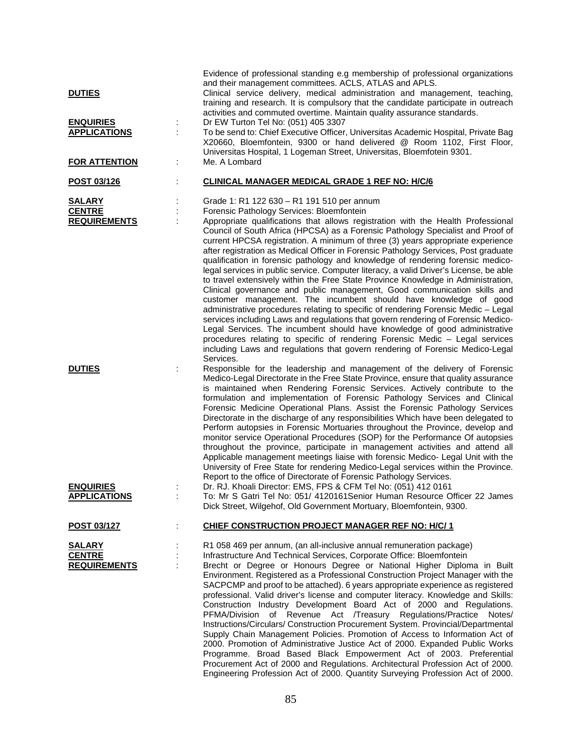| <b>DUTIES</b><br><b>ENQUIRIES</b><br><b>APPLICATIONS</b><br><b>FOR ATTENTION</b> | Evidence of professional standing e.g membership of professional organizations<br>and their management committees. ACLS, ATLAS and APLS.<br>Clinical service delivery, medical administration and management, teaching,<br>training and research. It is compulsory that the candidate participate in outreach<br>activities and commuted overtime. Maintain quality assurance standards.<br>Dr EW Turton Tel No: (051) 405 3307<br>To be send to: Chief Executive Officer, Universitas Academic Hospital, Private Bag<br>X20660, Bloemfontein, 9300 or hand delivered @ Room 1102, First Floor,<br>Universitas Hospital, 1 Logeman Street, Universitas, Bloemfotein 9301.<br>Me. A Lombard                                                                                                                                                                                                                                                                                                                                                                                                                                                                                                                                                                                                        |
|----------------------------------------------------------------------------------|---------------------------------------------------------------------------------------------------------------------------------------------------------------------------------------------------------------------------------------------------------------------------------------------------------------------------------------------------------------------------------------------------------------------------------------------------------------------------------------------------------------------------------------------------------------------------------------------------------------------------------------------------------------------------------------------------------------------------------------------------------------------------------------------------------------------------------------------------------------------------------------------------------------------------------------------------------------------------------------------------------------------------------------------------------------------------------------------------------------------------------------------------------------------------------------------------------------------------------------------------------------------------------------------------|
| POST 03/126                                                                      | <b>CLINICAL MANAGER MEDICAL GRADE 1 REF NO: H/C/6</b>                                                                                                                                                                                                                                                                                                                                                                                                                                                                                                                                                                                                                                                                                                                                                                                                                                                                                                                                                                                                                                                                                                                                                                                                                                             |
| <b>SALARY</b><br><b>CENTRE</b><br><b>REQUIREMENTS</b>                            | Grade 1: R1 122 630 - R1 191 510 per annum<br>Forensic Pathology Services: Bloemfontein<br>Appropriate qualifications that allows registration with the Health Professional<br>Council of South Africa (HPCSA) as a Forensic Pathology Specialist and Proof of<br>current HPCSA registration. A minimum of three (3) years appropriate experience<br>after registration as Medical Officer in Forensic Pathology Services, Post graduate<br>qualification in forensic pathology and knowledge of rendering forensic medico-<br>legal services in public service. Computer literacy, a valid Driver's License, be able<br>to travel extensively within the Free State Province Knowledge in Administration,<br>Clinical governance and public management, Good communication skills and<br>customer management. The incumbent should have knowledge of good<br>administrative procedures relating to specific of rendering Forensic Medic - Legal<br>services including Laws and regulations that govern rendering of Forensic Medico-<br>Legal Services. The incumbent should have knowledge of good administrative<br>procedures relating to specific of rendering Forensic Medic - Legal services<br>including Laws and regulations that govern rendering of Forensic Medico-Legal<br>Services. |
| <b>DUTIES</b>                                                                    | Responsible for the leadership and management of the delivery of Forensic<br>Medico-Legal Directorate in the Free State Province, ensure that quality assurance<br>is maintained when Rendering Forensic Services. Actively contribute to the<br>formulation and implementation of Forensic Pathology Services and Clinical<br>Forensic Medicine Operational Plans. Assist the Forensic Pathology Services<br>Directorate in the discharge of any responsibilities Which have been delegated to<br>Perform autopsies in Forensic Mortuaries throughout the Province, develop and<br>monitor service Operational Procedures (SOP) for the Performance Of autopsies<br>throughout the province, participate in management activities and attend all<br>Applicable management meetings liaise with forensic Medico- Legal Unit with the<br>University of Free State for rendering Medico-Legal services within the Province.<br>Report to the office of Directorate of Forensic Pathology Services.                                                                                                                                                                                                                                                                                                  |
| <b>ENQUIRIES</b>                                                                 | Dr. RJ. Khoali Director: EMS, FPS & CFM Tel No: (051) 412 0161                                                                                                                                                                                                                                                                                                                                                                                                                                                                                                                                                                                                                                                                                                                                                                                                                                                                                                                                                                                                                                                                                                                                                                                                                                    |
| <b>APPLICATIONS</b>                                                              | To: Mr S Gatri Tel No: 051/ 4120161 Senior Human Resource Officer 22 James<br>Dick Street, Wilgehof, Old Government Mortuary, Bloemfontein, 9300.                                                                                                                                                                                                                                                                                                                                                                                                                                                                                                                                                                                                                                                                                                                                                                                                                                                                                                                                                                                                                                                                                                                                                 |
| POST 03/127                                                                      | CHIEF CONSTRUCTION PROJECT MANAGER REF NO: H/C/1                                                                                                                                                                                                                                                                                                                                                                                                                                                                                                                                                                                                                                                                                                                                                                                                                                                                                                                                                                                                                                                                                                                                                                                                                                                  |
| <b>SALARY</b><br><b>CENTRE</b><br><b>REQUIREMENTS</b>                            | R1 058 469 per annum, (an all-inclusive annual remuneration package)<br>Infrastructure And Technical Services, Corporate Office: Bloemfontein<br>Brecht or Degree or Honours Degree or National Higher Diploma in Built<br>Environment. Registered as a Professional Construction Project Manager with the<br>SACPCMP and proof to be attached). 6 years appropriate experience as registered<br>professional. Valid driver's license and computer literacy. Knowledge and Skills:<br>Construction Industry Development Board Act of 2000 and Regulations.<br>of Revenue Act /Treasury Regulations/Practice Notes/<br>PFMA/Division<br>Instructions/Circulars/ Construction Procurement System. Provincial/Departmental<br>Supply Chain Management Policies. Promotion of Access to Information Act of<br>2000. Promotion of Administrative Justice Act of 2000. Expanded Public Works<br>Programme. Broad Based Black Empowerment Act of 2003. Preferential<br>Procurement Act of 2000 and Regulations. Architectural Profession Act of 2000.                                                                                                                                                                                                                                                    |

Engineering Profession Act of 2000. Quantity Surveying Profession Act of 2000.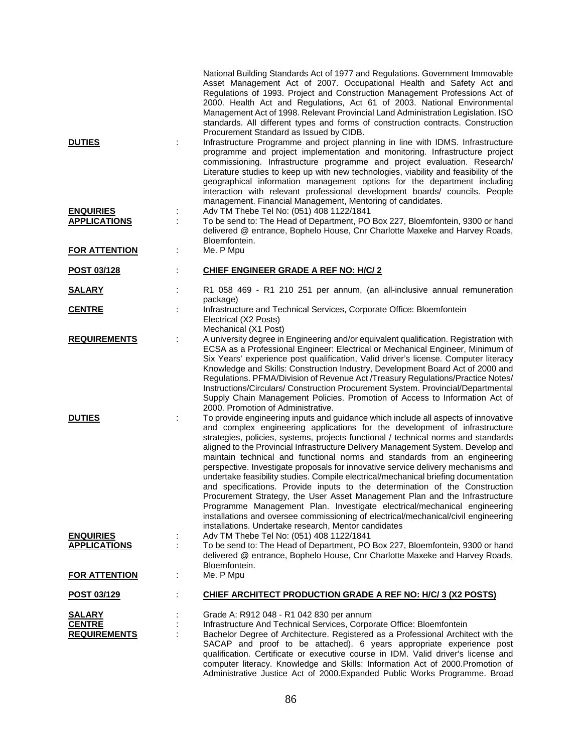|                                         |   | National Building Standards Act of 1977 and Regulations. Government Immovable<br>Asset Management Act of 2007. Occupational Health and Safety Act and<br>Regulations of 1993. Project and Construction Management Professions Act of<br>2000. Health Act and Regulations, Act 61 of 2003. National Environmental<br>Management Act of 1998. Relevant Provincial Land Administration Legislation. ISO<br>standards. All different types and forms of construction contracts. Construction<br>Procurement Standard as Issued by CIDB.                                                                                                                                                                                                                                                                                                                                                                                                                                                         |
|-----------------------------------------|---|---------------------------------------------------------------------------------------------------------------------------------------------------------------------------------------------------------------------------------------------------------------------------------------------------------------------------------------------------------------------------------------------------------------------------------------------------------------------------------------------------------------------------------------------------------------------------------------------------------------------------------------------------------------------------------------------------------------------------------------------------------------------------------------------------------------------------------------------------------------------------------------------------------------------------------------------------------------------------------------------|
| <b>DUTIES</b>                           |   | Infrastructure Programme and project planning in line with IDMS. Infrastructure<br>programme and project implementation and monitoring. Infrastructure project<br>commissioning. Infrastructure programme and project evaluation. Research/<br>Literature studies to keep up with new technologies, viability and feasibility of the<br>geographical information management options for the department including<br>interaction with relevant professional development boards/ councils. People<br>management. Financial Management, Mentoring of candidates.                                                                                                                                                                                                                                                                                                                                                                                                                               |
| <b>ENQUIRIES</b><br><b>APPLICATIONS</b> |   | Adv TM Thebe Tel No: (051) 408 1122/1841<br>To be send to: The Head of Department, PO Box 227, Bloemfontein, 9300 or hand<br>delivered @ entrance, Bophelo House, Cnr Charlotte Maxeke and Harvey Roads,<br>Bloemfontein.                                                                                                                                                                                                                                                                                                                                                                                                                                                                                                                                                                                                                                                                                                                                                                   |
| <b>FOR ATTENTION</b>                    |   | Me. P Mpu                                                                                                                                                                                                                                                                                                                                                                                                                                                                                                                                                                                                                                                                                                                                                                                                                                                                                                                                                                                   |
| POST 03/128                             |   | <u>CHIEF ENGINEER GRADE A REF NO: H/C/ 2</u>                                                                                                                                                                                                                                                                                                                                                                                                                                                                                                                                                                                                                                                                                                                                                                                                                                                                                                                                                |
| <b>SALARY</b>                           |   | R1 058 469 - R1 210 251 per annum, (an all-inclusive annual remuneration                                                                                                                                                                                                                                                                                                                                                                                                                                                                                                                                                                                                                                                                                                                                                                                                                                                                                                                    |
| <b>CENTRE</b>                           |   | package)<br>Infrastructure and Technical Services, Corporate Office: Bloemfontein<br>Electrical (X2 Posts)<br>Mechanical (X1 Post)                                                                                                                                                                                                                                                                                                                                                                                                                                                                                                                                                                                                                                                                                                                                                                                                                                                          |
| <b>REQUIREMENTS</b>                     |   | A university degree in Engineering and/or equivalent qualification. Registration with<br>ECSA as a Professional Engineer: Electrical or Mechanical Engineer, Minimum of<br>Six Years' experience post qualification, Valid driver's license. Computer literacy<br>Knowledge and Skills: Construction Industry, Development Board Act of 2000 and<br>Regulations. PFMA/Division of Revenue Act /Treasury Regulations/Practice Notes/<br>Instructions/Circulars/ Construction Procurement System. Provincial/Departmental<br>Supply Chain Management Policies. Promotion of Access to Information Act of<br>2000. Promotion of Administrative.                                                                                                                                                                                                                                                                                                                                                |
| <b>DUTIES</b>                           | ÷ | To provide engineering inputs and guidance which include all aspects of innovative<br>and complex engineering applications for the development of infrastructure<br>strategies, policies, systems, projects functional / technical norms and standards<br>aligned to the Provincial Infrastructure Delivery Management System. Develop and<br>maintain technical and functional norms and standards from an engineering<br>perspective. Investigate proposals for innovative service delivery mechanisms and<br>undertake feasibility studies. Compile electrical/mechanical briefing documentation<br>and specifications. Provide inputs to the determination of the Construction<br>Procurement Strategy, the User Asset Management Plan and the Infrastructure<br>Programme Management Plan. Investigate electrical/mechanical engineering<br>installations and oversee commissioning of electrical/mechanical/civil engineering<br>installations. Undertake research, Mentor candidates |
| <b>ENQUIRIES</b><br><b>APPLICATIONS</b> |   | Adv TM Thebe Tel No: (051) 408 1122/1841<br>To be send to: The Head of Department, PO Box 227, Bloemfontein, 9300 or hand                                                                                                                                                                                                                                                                                                                                                                                                                                                                                                                                                                                                                                                                                                                                                                                                                                                                   |
|                                         |   | delivered @ entrance, Bophelo House, Cnr Charlotte Maxeke and Harvey Roads,<br>Bloemfontein.                                                                                                                                                                                                                                                                                                                                                                                                                                                                                                                                                                                                                                                                                                                                                                                                                                                                                                |
| <b>FOR ATTENTION</b>                    |   | Me. P Mpu                                                                                                                                                                                                                                                                                                                                                                                                                                                                                                                                                                                                                                                                                                                                                                                                                                                                                                                                                                                   |
| POST 03/129                             |   | CHIEF ARCHITECT PRODUCTION GRADE A REF NO: H/C/ 3 (X2 POSTS)                                                                                                                                                                                                                                                                                                                                                                                                                                                                                                                                                                                                                                                                                                                                                                                                                                                                                                                                |
| <u>SALARY</u>                           |   | Grade A: R912 048 - R1 042 830 per annum                                                                                                                                                                                                                                                                                                                                                                                                                                                                                                                                                                                                                                                                                                                                                                                                                                                                                                                                                    |
| <b>CENTRE</b><br><b>REQUIREMENTS</b>    |   | Infrastructure And Technical Services, Corporate Office: Bloemfontein<br>Bachelor Degree of Architecture. Registered as a Professional Architect with the<br>SACAP and proof to be attached). 6 years appropriate experience post<br>qualification. Certificate or executive course in IDM. Valid driver's license and<br>computer literacy. Knowledge and Skills: Information Act of 2000. Promotion of                                                                                                                                                                                                                                                                                                                                                                                                                                                                                                                                                                                    |

Administrative Justice Act of 2000.Expanded Public Works Programme. Broad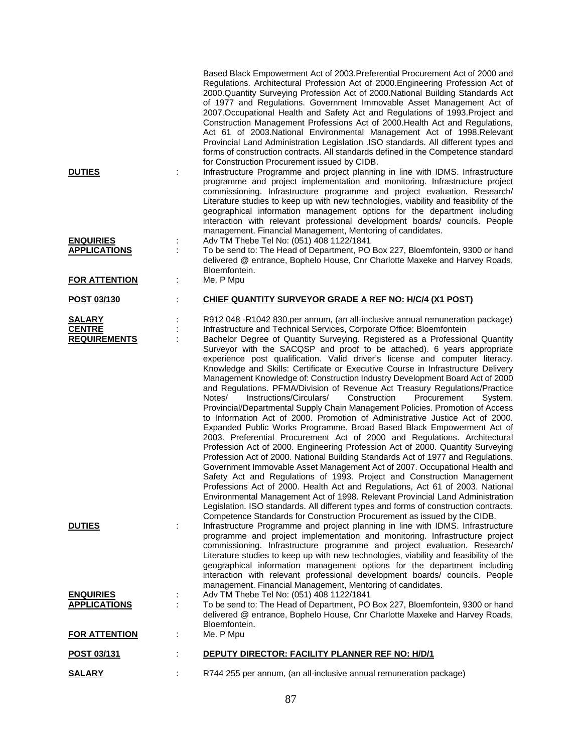| <b>DUTIES</b>                        |   | Based Black Empowerment Act of 2003. Preferential Procurement Act of 2000 and<br>Regulations. Architectural Profession Act of 2000. Engineering Profession Act of<br>2000.Quantity Surveying Profession Act of 2000.National Building Standards Act<br>of 1977 and Regulations. Government Immovable Asset Management Act of<br>2007. Occupational Health and Safety Act and Regulations of 1993. Project and<br>Construction Management Professions Act of 2000. Health Act and Regulations,<br>Act 61 of 2003. National Environmental Management Act of 1998. Relevant<br>Provincial Land Administration Legislation .ISO standards. All different types and<br>forms of construction contracts. All standards defined in the Competence standard<br>for Construction Procurement issued by CIDB.<br>Infrastructure Programme and project planning in line with IDMS. Infrastructure<br>programme and project implementation and monitoring. Infrastructure project<br>commissioning. Infrastructure programme and project evaluation. Research/<br>Literature studies to keep up with new technologies, viability and feasibility of the<br>geographical information management options for the department including<br>interaction with relevant professional development boards/ councils. People                                                                                                                                                                                |
|--------------------------------------|---|---------------------------------------------------------------------------------------------------------------------------------------------------------------------------------------------------------------------------------------------------------------------------------------------------------------------------------------------------------------------------------------------------------------------------------------------------------------------------------------------------------------------------------------------------------------------------------------------------------------------------------------------------------------------------------------------------------------------------------------------------------------------------------------------------------------------------------------------------------------------------------------------------------------------------------------------------------------------------------------------------------------------------------------------------------------------------------------------------------------------------------------------------------------------------------------------------------------------------------------------------------------------------------------------------------------------------------------------------------------------------------------------------------------------------------------------------------------------------------------|
| <b>ENQUIRIES</b>                     |   | management. Financial Management, Mentoring of candidates.<br>Adv TM Thebe Tel No: (051) 408 1122/1841                                                                                                                                                                                                                                                                                                                                                                                                                                                                                                                                                                                                                                                                                                                                                                                                                                                                                                                                                                                                                                                                                                                                                                                                                                                                                                                                                                                |
| <b>APPLICATIONS</b>                  | ÷ | To be send to: The Head of Department, PO Box 227, Bloemfontein, 9300 or hand<br>delivered @ entrance, Bophelo House, Cnr Charlotte Maxeke and Harvey Roads,<br>Bloemfontein.                                                                                                                                                                                                                                                                                                                                                                                                                                                                                                                                                                                                                                                                                                                                                                                                                                                                                                                                                                                                                                                                                                                                                                                                                                                                                                         |
| <b>FOR ATTENTION</b>                 |   | Me. P Mpu                                                                                                                                                                                                                                                                                                                                                                                                                                                                                                                                                                                                                                                                                                                                                                                                                                                                                                                                                                                                                                                                                                                                                                                                                                                                                                                                                                                                                                                                             |
| POST 03/130                          |   | CHIEF QUANTITY SURVEYOR GRADE A REF NO: H/C/4 (X1 POST)                                                                                                                                                                                                                                                                                                                                                                                                                                                                                                                                                                                                                                                                                                                                                                                                                                                                                                                                                                                                                                                                                                                                                                                                                                                                                                                                                                                                                               |
| <b>SALARY</b>                        |   | R912 048 -R1042 830.per annum, (an all-inclusive annual remuneration package)                                                                                                                                                                                                                                                                                                                                                                                                                                                                                                                                                                                                                                                                                                                                                                                                                                                                                                                                                                                                                                                                                                                                                                                                                                                                                                                                                                                                         |
| <b>CENTRE</b><br><b>REQUIREMENTS</b> |   | Infrastructure and Technical Services, Corporate Office: Bloemfontein<br>Bachelor Degree of Quantity Surveying. Registered as a Professional Quantity                                                                                                                                                                                                                                                                                                                                                                                                                                                                                                                                                                                                                                                                                                                                                                                                                                                                                                                                                                                                                                                                                                                                                                                                                                                                                                                                 |
|                                      |   | Surveyor with the SACQSP and proof to be attached). 6 years appropriate<br>experience post qualification. Valid driver's license and computer literacy.<br>Knowledge and Skills: Certificate or Executive Course in Infrastructure Delivery<br>Management Knowledge of: Construction Industry Development Board Act of 2000<br>and Regulations. PFMA/Division of Revenue Act Treasury Regulations/Practice<br>Notes/<br>Instructions/Circulars/<br>Construction<br>Procurement<br>System.<br>Provincial/Departmental Supply Chain Management Policies. Promotion of Access<br>to Information Act of 2000. Promotion of Administrative Justice Act of 2000.<br>Expanded Public Works Programme. Broad Based Black Empowerment Act of<br>2003. Preferential Procurement Act of 2000 and Regulations. Architectural<br>Profession Act of 2000. Engineering Profession Act of 2000. Quantity Surveying<br>Profession Act of 2000. National Building Standards Act of 1977 and Regulations.<br>Government Immovable Asset Management Act of 2007. Occupational Health and<br>Safety Act and Regulations of 1993. Project and Construction Management<br>Professions Act of 2000. Health Act and Regulations, Act 61 of 2003. National<br>Environmental Management Act of 1998. Relevant Provincial Land Administration<br>Legislation. ISO standards. All different types and forms of construction contracts.<br>Competence Standards for Construction Procurement as issued by the CIDB. |
| <b>DUTIES</b>                        |   | Infrastructure Programme and project planning in line with IDMS. Infrastructure<br>programme and project implementation and monitoring. Infrastructure project<br>commissioning. Infrastructure programme and project evaluation. Research/<br>Literature studies to keep up with new technologies, viability and feasibility of the<br>geographical information management options for the department including<br>interaction with relevant professional development boards/ councils. People<br>management. Financial Management, Mentoring of candidates.                                                                                                                                                                                                                                                                                                                                                                                                                                                                                                                                                                                                                                                                                                                                                                                                                                                                                                                         |
| <b>ENQUIRIES</b>                     |   | Adv TM Thebe Tel No: (051) 408 1122/1841                                                                                                                                                                                                                                                                                                                                                                                                                                                                                                                                                                                                                                                                                                                                                                                                                                                                                                                                                                                                                                                                                                                                                                                                                                                                                                                                                                                                                                              |
| <b>APPLICATIONS</b>                  |   | To be send to: The Head of Department, PO Box 227, Bloemfontein, 9300 or hand<br>delivered @ entrance, Bophelo House, Cnr Charlotte Maxeke and Harvey Roads,                                                                                                                                                                                                                                                                                                                                                                                                                                                                                                                                                                                                                                                                                                                                                                                                                                                                                                                                                                                                                                                                                                                                                                                                                                                                                                                          |
| <b>FOR ATTENTION</b>                 |   | Bloemfontein.<br>Me. P Mpu                                                                                                                                                                                                                                                                                                                                                                                                                                                                                                                                                                                                                                                                                                                                                                                                                                                                                                                                                                                                                                                                                                                                                                                                                                                                                                                                                                                                                                                            |
| POST 03/131                          |   | DEPUTY DIRECTOR: FACILITY PLANNER REF NO: H/D/1                                                                                                                                                                                                                                                                                                                                                                                                                                                                                                                                                                                                                                                                                                                                                                                                                                                                                                                                                                                                                                                                                                                                                                                                                                                                                                                                                                                                                                       |
| <b>SALARY</b>                        |   | R744 255 per annum, (an all-inclusive annual remuneration package)                                                                                                                                                                                                                                                                                                                                                                                                                                                                                                                                                                                                                                                                                                                                                                                                                                                                                                                                                                                                                                                                                                                                                                                                                                                                                                                                                                                                                    |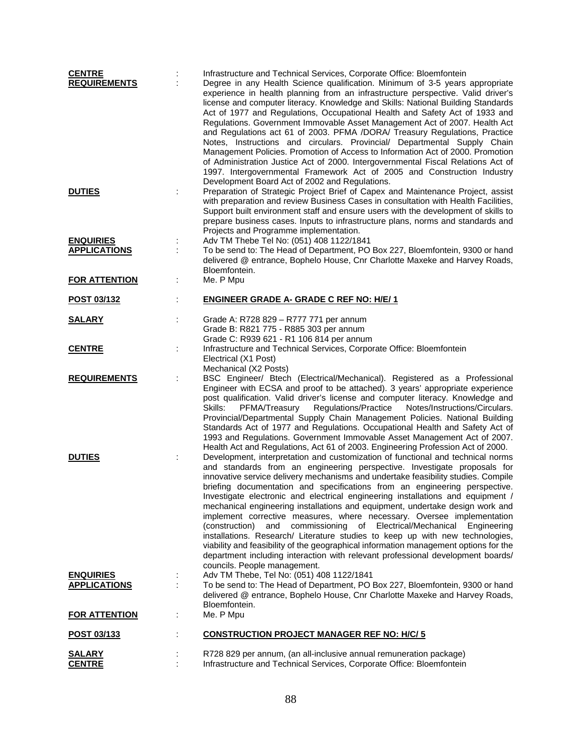| <b>CENTRE</b><br><b>REQUIREMENTS</b> | Infrastructure and Technical Services, Corporate Office: Bloemfontein<br>Degree in any Health Science qualification. Minimum of 3-5 years appropriate<br>experience in health planning from an infrastructure perspective. Valid driver's<br>license and computer literacy. Knowledge and Skills: National Building Standards<br>Act of 1977 and Regulations, Occupational Health and Safety Act of 1933 and<br>Regulations. Government Immovable Asset Management Act of 2007. Health Act<br>and Regulations act 61 of 2003. PFMA /DORA/ Treasury Regulations, Practice<br>Notes, Instructions and circulars. Provincial/ Departmental Supply Chain<br>Management Policies. Promotion of Access to Information Act of 2000. Promotion<br>of Administration Justice Act of 2000. Intergovernmental Fiscal Relations Act of<br>1997. Intergovernmental Framework Act of 2005 and Construction Industry<br>Development Board Act of 2002 and Regulations. |
|--------------------------------------|---------------------------------------------------------------------------------------------------------------------------------------------------------------------------------------------------------------------------------------------------------------------------------------------------------------------------------------------------------------------------------------------------------------------------------------------------------------------------------------------------------------------------------------------------------------------------------------------------------------------------------------------------------------------------------------------------------------------------------------------------------------------------------------------------------------------------------------------------------------------------------------------------------------------------------------------------------|
| <b>DUTIES</b>                        | Preparation of Strategic Project Brief of Capex and Maintenance Project, assist<br>with preparation and review Business Cases in consultation with Health Facilities,<br>Support built environment staff and ensure users with the development of skills to<br>prepare business cases. Inputs to infrastructure plans, norms and standards and<br>Projects and Programme implementation.                                                                                                                                                                                                                                                                                                                                                                                                                                                                                                                                                                |
| <b>ENQUIRIES</b>                     | Adv TM Thebe Tel No: (051) 408 1122/1841                                                                                                                                                                                                                                                                                                                                                                                                                                                                                                                                                                                                                                                                                                                                                                                                                                                                                                                |
| <b>APPLICATIONS</b>                  | To be send to: The Head of Department, PO Box 227, Bloemfontein, 9300 or hand<br>delivered @ entrance, Bophelo House, Cnr Charlotte Maxeke and Harvey Roads,<br>Bloemfontein.                                                                                                                                                                                                                                                                                                                                                                                                                                                                                                                                                                                                                                                                                                                                                                           |
| <b>FOR ATTENTION</b>                 | Me. P Mpu                                                                                                                                                                                                                                                                                                                                                                                                                                                                                                                                                                                                                                                                                                                                                                                                                                                                                                                                               |
| POST 03/132                          | <b>ENGINEER GRADE A- GRADE C REF NO: H/E/1</b>                                                                                                                                                                                                                                                                                                                                                                                                                                                                                                                                                                                                                                                                                                                                                                                                                                                                                                          |
| <b>SALARY</b>                        | Grade A: R728 829 - R777 771 per annum<br>Grade B: R821 775 - R885 303 per annum<br>Grade C: R939 621 - R1 106 814 per annum                                                                                                                                                                                                                                                                                                                                                                                                                                                                                                                                                                                                                                                                                                                                                                                                                            |
| <b>CENTRE</b>                        | Infrastructure and Technical Services, Corporate Office: Bloemfontein<br>Electrical (X1 Post)<br>Mechanical (X2 Posts)                                                                                                                                                                                                                                                                                                                                                                                                                                                                                                                                                                                                                                                                                                                                                                                                                                  |
| <b>REQUIREMENTS</b>                  | BSC Engineer/ Btech (Electrical/Mechanical). Registered as a Professional<br>Engineer with ECSA and proof to be attached). 3 years' appropriate experience<br>post qualification. Valid driver's license and computer literacy. Knowledge and<br>Regulations/Practice<br>Skills:<br>PFMA/Treasury<br>Notes/Instructions/Circulars.<br>Provincial/Departmental Supply Chain Management Policies. National Building<br>Standards Act of 1977 and Regulations. Occupational Health and Safety Act of<br>1993 and Regulations. Government Immovable Asset Management Act of 2007.<br>Health Act and Regulations, Act 61 of 2003. Engineering Profession Act of 2000.                                                                                                                                                                                                                                                                                        |
| <b>DUTIES</b>                        | Development, interpretation and customization of functional and technical norms<br>and standards from an engineering perspective. Investigate proposals for<br>innovative service delivery mechanisms and undertake feasibility studies. Compile<br>briefing documentation and specifications from an engineering perspective.<br>Investigate electronic and electrical engineering installations and equipment /<br>mechanical engineering installations and equipment, undertake design work and<br>implement corrective measures, where necessary. Oversee implementation<br>and commissioning of Electrical/Mechanical<br>(construction)<br>Engineering<br>installations. Research/ Literature studies to keep up with new technologies,<br>viability and feasibility of the geographical information management options for the<br>department including interaction with relevant professional development boards/<br>councils. People management. |
| <b>ENQUIRIES</b>                     | Adv TM Thebe, Tel No: (051) 408 1122/1841                                                                                                                                                                                                                                                                                                                                                                                                                                                                                                                                                                                                                                                                                                                                                                                                                                                                                                               |
| <b>APPLICATIONS</b>                  | To be send to: The Head of Department, PO Box 227, Bloemfontein, 9300 or hand<br>delivered @ entrance, Bophelo House, Cnr Charlotte Maxeke and Harvey Roads,<br>Bloemfontein.                                                                                                                                                                                                                                                                                                                                                                                                                                                                                                                                                                                                                                                                                                                                                                           |
| <b>FOR ATTENTION</b>                 | Me. P Mpu                                                                                                                                                                                                                                                                                                                                                                                                                                                                                                                                                                                                                                                                                                                                                                                                                                                                                                                                               |
| POST 03/133                          | <b>CONSTRUCTION PROJECT MANAGER REF NO: H/C/5</b>                                                                                                                                                                                                                                                                                                                                                                                                                                                                                                                                                                                                                                                                                                                                                                                                                                                                                                       |
| <u>SALARY</u><br><b>CENTRE</b>       | R728 829 per annum, (an all-inclusive annual remuneration package)<br>Infrastructure and Technical Services, Corporate Office: Bloemfontein                                                                                                                                                                                                                                                                                                                                                                                                                                                                                                                                                                                                                                                                                                                                                                                                             |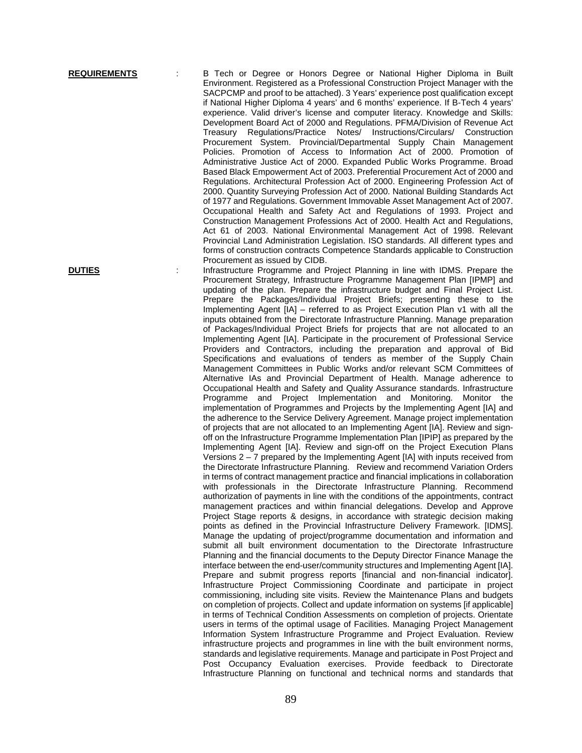**REQUIREMENTS** : B Tech or Degree or Honors Degree or National Higher Diploma in Built Environment. Registered as a Professional Construction Project Manager with the SACPCMP and proof to be attached). 3 Years' experience post qualification except if National Higher Diploma 4 years' and 6 months' experience. If B-Tech 4 years' experience. Valid driver's license and computer literacy. Knowledge and Skills: Development Board Act of 2000 and Regulations. PFMA/Division of Revenue Act Treasury Regulations/Practice Notes/ Instructions/Circulars/ Construction Procurement System. Provincial/Departmental Supply Chain Management Policies. Promotion of Access to Information Act of 2000. Promotion of Administrative Justice Act of 2000. Expanded Public Works Programme. Broad Based Black Empowerment Act of 2003. Preferential Procurement Act of 2000 and Regulations. Architectural Profession Act of 2000. Engineering Profession Act of 2000. Quantity Surveying Profession Act of 2000. National Building Standards Act of 1977 and Regulations. Government Immovable Asset Management Act of 2007. Occupational Health and Safety Act and Regulations of 1993. Project and Construction Management Professions Act of 2000. Health Act and Regulations, Act 61 of 2003. National Environmental Management Act of 1998. Relevant Provincial Land Administration Legislation. ISO standards. All different types and forms of construction contracts Competence Standards applicable to Construction Procurement as issued by CIDB.

**DUTIES** : Infrastructure Programme and Project Planning in line with IDMS. Prepare the Procurement Strategy, Infrastructure Programme Management Plan [IPMP] and updating of the plan. Prepare the infrastructure budget and Final Project List. Prepare the Packages/Individual Project Briefs; presenting these to the Implementing Agent [IA] – referred to as Project Execution Plan v1 with all the inputs obtained from the Directorate Infrastructure Planning. Manage preparation of Packages/Individual Project Briefs for projects that are not allocated to an Implementing Agent [IA]. Participate in the procurement of Professional Service Providers and Contractors, including the preparation and approval of Bid Specifications and evaluations of tenders as member of the Supply Chain Management Committees in Public Works and/or relevant SCM Committees of Alternative IAs and Provincial Department of Health. Manage adherence to Occupational Health and Safety and Quality Assurance standards. Infrastructure Programme and Project Implementation and Monitoring. Monitor the implementation of Programmes and Projects by the Implementing Agent [IA] and the adherence to the Service Delivery Agreement. Manage project implementation of projects that are not allocated to an Implementing Agent [IA]. Review and signoff on the Infrastructure Programme Implementation Plan [IPIP] as prepared by the Implementing Agent [IA]. Review and sign-off on the Project Execution Plans Versions 2 – 7 prepared by the Implementing Agent [IA] with inputs received from the Directorate Infrastructure Planning. Review and recommend Variation Orders in terms of contract management practice and financial implications in collaboration with professionals in the Directorate Infrastructure Planning. Recommend authorization of payments in line with the conditions of the appointments, contract management practices and within financial delegations. Develop and Approve Project Stage reports & designs, in accordance with strategic decision making points as defined in the Provincial Infrastructure Delivery Framework. [IDMS]. Manage the updating of project/programme documentation and information and submit all built environment documentation to the Directorate Infrastructure Planning and the financial documents to the Deputy Director Finance Manage the interface between the end-user/community structures and Implementing Agent [IA]. Prepare and submit progress reports [financial and non-financial indicator]. Infrastructure Project Commissioning Coordinate and participate in project commissioning, including site visits. Review the Maintenance Plans and budgets on completion of projects. Collect and update information on systems [if applicable] in terms of Technical Condition Assessments on completion of projects. Orientate users in terms of the optimal usage of Facilities. Managing Project Management Information System Infrastructure Programme and Project Evaluation. Review infrastructure projects and programmes in line with the built environment norms, standards and legislative requirements. Manage and participate in Post Project and Post Occupancy Evaluation exercises. Provide feedback to Directorate Infrastructure Planning on functional and technical norms and standards that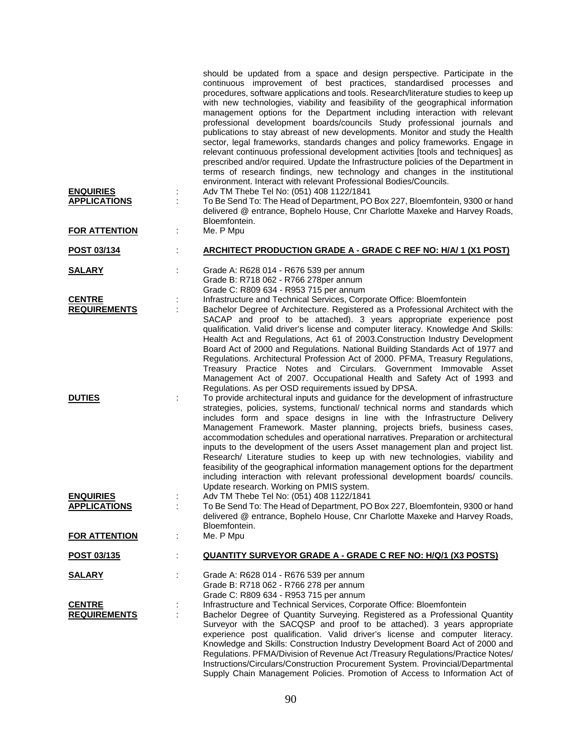| <b>ENQUIRIES</b>                                      | should be updated from a space and design perspective. Participate in the<br>continuous improvement of best practices, standardised processes and<br>procedures, software applications and tools. Research/literature studies to keep up<br>with new technologies, viability and feasibility of the geographical information<br>management options for the Department including interaction with relevant<br>professional development boards/councils Study professional journals and<br>publications to stay abreast of new developments. Monitor and study the Health<br>sector, legal frameworks, standards changes and policy frameworks. Engage in<br>relevant continuous professional development activities [tools and techniques] as<br>prescribed and/or required. Update the Infrastructure policies of the Department in<br>terms of research findings, new technology and changes in the institutional<br>environment. Interact with relevant Professional Bodies/Councils.<br>Adv TM Thebe Tel No: (051) 408 1122/1841 |
|-------------------------------------------------------|-------------------------------------------------------------------------------------------------------------------------------------------------------------------------------------------------------------------------------------------------------------------------------------------------------------------------------------------------------------------------------------------------------------------------------------------------------------------------------------------------------------------------------------------------------------------------------------------------------------------------------------------------------------------------------------------------------------------------------------------------------------------------------------------------------------------------------------------------------------------------------------------------------------------------------------------------------------------------------------------------------------------------------------|
| <b>APPLICATIONS</b>                                   | To Be Send To: The Head of Department, PO Box 227, Bloemfontein, 9300 or hand<br>delivered @ entrance, Bophelo House, Cnr Charlotte Maxeke and Harvey Roads,<br>Bloemfontein.                                                                                                                                                                                                                                                                                                                                                                                                                                                                                                                                                                                                                                                                                                                                                                                                                                                       |
| <b>FOR ATTENTION</b>                                  | Me. P Mpu                                                                                                                                                                                                                                                                                                                                                                                                                                                                                                                                                                                                                                                                                                                                                                                                                                                                                                                                                                                                                           |
| POST 03/134                                           | <b>ARCHITECT PRODUCTION GRADE A - GRADE C REF NO: H/A/ 1 (X1 POST)</b>                                                                                                                                                                                                                                                                                                                                                                                                                                                                                                                                                                                                                                                                                                                                                                                                                                                                                                                                                              |
| <b>SALARY</b>                                         | Grade A: R628 014 - R676 539 per annum<br>Grade B: R718 062 - R766 278per annum<br>Grade C: R809 634 - R953 715 per annum                                                                                                                                                                                                                                                                                                                                                                                                                                                                                                                                                                                                                                                                                                                                                                                                                                                                                                           |
| <b>CENTRE</b><br><b>REQUIREMENTS</b>                  | Infrastructure and Technical Services, Corporate Office: Bloemfontein<br>Bachelor Degree of Architecture. Registered as a Professional Architect with the                                                                                                                                                                                                                                                                                                                                                                                                                                                                                                                                                                                                                                                                                                                                                                                                                                                                           |
|                                                       | SACAP and proof to be attached). 3 years appropriate experience post<br>qualification. Valid driver's license and computer literacy. Knowledge And Skills:<br>Health Act and Regulations, Act 61 of 2003. Construction Industry Development<br>Board Act of 2000 and Regulations. National Building Standards Act of 1977 and<br>Regulations. Architectural Profession Act of 2000. PFMA, Treasury Regulations,<br>Treasury Practice Notes and Circulars. Government Immovable Asset<br>Management Act of 2007. Occupational Health and Safety Act of 1993 and<br>Regulations. As per OSD requirements issued by DPSA.                                                                                                                                                                                                                                                                                                                                                                                                              |
| <b>DUTIES</b>                                         | To provide architectural inputs and guidance for the development of infrastructure<br>strategies, policies, systems, functional/ technical norms and standards which<br>includes form and space designs in line with the Infrastructure Delivery<br>Management Framework. Master planning, projects briefs, business cases,<br>accommodation schedules and operational narratives. Preparation or architectural<br>inputs to the development of the users Asset management plan and project list.<br>Research/ Literature studies to keep up with new technologies, viability and<br>feasibility of the geographical information management options for the department<br>including interaction with relevant professional development boards/ councils.<br>Update research. Working on PMIS system.                                                                                                                                                                                                                                |
| <b>ENQUIRIES</b>                                      | Adv TM Thebe Tel No: (051) 408 1122/1841                                                                                                                                                                                                                                                                                                                                                                                                                                                                                                                                                                                                                                                                                                                                                                                                                                                                                                                                                                                            |
| <b>APPLICATIONS</b>                                   | To Be Send To: The Head of Department, PO Box 227, Bloemfontein, 9300 or hand<br>delivered @ entrance, Bophelo House, Cnr Charlotte Maxeke and Harvey Roads,<br>Bloemfontein.                                                                                                                                                                                                                                                                                                                                                                                                                                                                                                                                                                                                                                                                                                                                                                                                                                                       |
| <b>FOR ATTENTION</b>                                  | Me. P Mpu                                                                                                                                                                                                                                                                                                                                                                                                                                                                                                                                                                                                                                                                                                                                                                                                                                                                                                                                                                                                                           |
| POST 03/135                                           | <b>QUANTITY SURVEYOR GRADE A - GRADE C REF NO: H/Q/1 (X3 POSTS)</b>                                                                                                                                                                                                                                                                                                                                                                                                                                                                                                                                                                                                                                                                                                                                                                                                                                                                                                                                                                 |
| <b>SALARY</b><br><b>CENTRE</b><br><b>REQUIREMENTS</b> | Grade A: R628 014 - R676 539 per annum<br>Grade B: R718 062 - R766 278 per annum<br>Grade C: R809 634 - R953 715 per annum<br>Infrastructure and Technical Services, Corporate Office: Bloemfontein<br>Bachelor Degree of Quantity Surveying. Registered as a Professional Quantity<br>Surveyor with the SACQSP and proof to be attached). 3 years appropriate<br>experience post qualification. Valid driver's license and computer literacy.<br>Knowledge and Skills: Construction Industry Development Board Act of 2000 and<br>Regulations. PFMA/Division of Revenue Act /Treasury Regulations/Practice Notes/<br>Instructions/Circulars/Construction Procurement System. Provincial/Departmental<br>Supply Chain Management Policies. Promotion of Access to Information Act of                                                                                                                                                                                                                                                |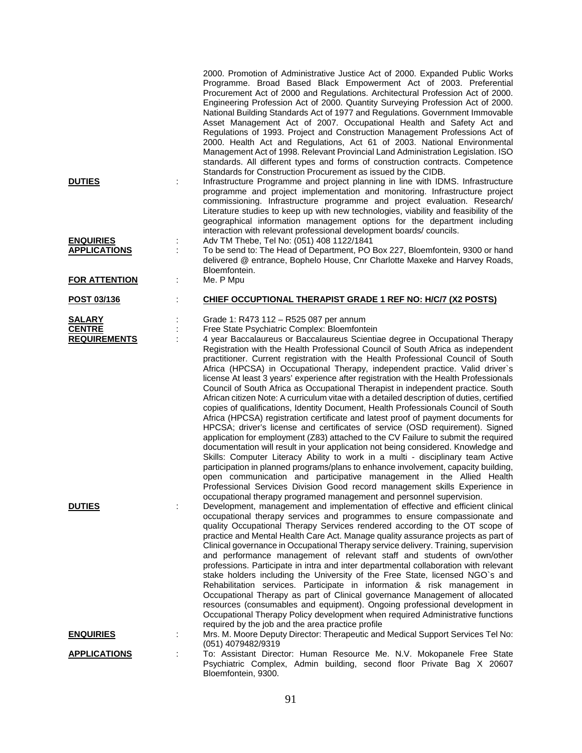| <b>DUTIES</b>                                         | ÷                    | 2000. Promotion of Administrative Justice Act of 2000. Expanded Public Works<br>Programme. Broad Based Black Empowerment Act of 2003. Preferential<br>Procurement Act of 2000 and Regulations. Architectural Profession Act of 2000.<br>Engineering Profession Act of 2000. Quantity Surveying Profession Act of 2000.<br>National Building Standards Act of 1977 and Regulations. Government Immovable<br>Asset Management Act of 2007. Occupational Health and Safety Act and<br>Regulations of 1993. Project and Construction Management Professions Act of<br>2000. Health Act and Regulations, Act 61 of 2003. National Environmental<br>Management Act of 1998. Relevant Provincial Land Administration Legislation. ISO<br>standards. All different types and forms of construction contracts. Competence<br>Standards for Construction Procurement as issued by the CIDB.<br>Infrastructure Programme and project planning in line with IDMS. Infrastructure<br>programme and project implementation and monitoring. Infrastructure project                                                                                                                                                                                                                                                                                                                                                                                                                                                                                                    |
|-------------------------------------------------------|----------------------|--------------------------------------------------------------------------------------------------------------------------------------------------------------------------------------------------------------------------------------------------------------------------------------------------------------------------------------------------------------------------------------------------------------------------------------------------------------------------------------------------------------------------------------------------------------------------------------------------------------------------------------------------------------------------------------------------------------------------------------------------------------------------------------------------------------------------------------------------------------------------------------------------------------------------------------------------------------------------------------------------------------------------------------------------------------------------------------------------------------------------------------------------------------------------------------------------------------------------------------------------------------------------------------------------------------------------------------------------------------------------------------------------------------------------------------------------------------------------------------------------------------------------------------------------------|
| <b>ENQUIRIES</b>                                      |                      | commissioning. Infrastructure programme and project evaluation. Research/<br>Literature studies to keep up with new technologies, viability and feasibility of the<br>geographical information management options for the department including<br>interaction with relevant professional development boards/councils.<br>Adv TM Thebe, Tel No: (051) 408 1122/1841                                                                                                                                                                                                                                                                                                                                                                                                                                                                                                                                                                                                                                                                                                                                                                                                                                                                                                                                                                                                                                                                                                                                                                                     |
| <b>APPLICATIONS</b>                                   | $\ddot{\phantom{a}}$ | To be send to: The Head of Department, PO Box 227, Bloemfontein, 9300 or hand<br>delivered @ entrance, Bophelo House, Cnr Charlotte Maxeke and Harvey Roads,<br>Bloemfontein.                                                                                                                                                                                                                                                                                                                                                                                                                                                                                                                                                                                                                                                                                                                                                                                                                                                                                                                                                                                                                                                                                                                                                                                                                                                                                                                                                                          |
| <b>FOR ATTENTION</b>                                  | ÷                    | Me. P Mpu                                                                                                                                                                                                                                                                                                                                                                                                                                                                                                                                                                                                                                                                                                                                                                                                                                                                                                                                                                                                                                                                                                                                                                                                                                                                                                                                                                                                                                                                                                                                              |
| POST 03/136                                           | t,                   | CHIEF OCCUPTIONAL THERAPIST GRADE 1 REF NO: H/C/7 (X2 POSTS)                                                                                                                                                                                                                                                                                                                                                                                                                                                                                                                                                                                                                                                                                                                                                                                                                                                                                                                                                                                                                                                                                                                                                                                                                                                                                                                                                                                                                                                                                           |
| <b>SALARY</b><br><b>CENTRE</b><br><b>REQUIREMENTS</b> |                      | Grade 1: R473 112 - R525 087 per annum<br>Free State Psychiatric Complex: Bloemfontein<br>4 year Baccalaureus or Baccalaureus Scientiae degree in Occupational Therapy<br>Registration with the Health Professional Council of South Africa as independent<br>practitioner. Current registration with the Health Professional Council of South<br>Africa (HPCSA) in Occupational Therapy, independent practice. Valid driver's<br>license At least 3 years' experience after registration with the Health Professionals<br>Council of South Africa as Occupational Therapist in independent practice. South<br>African citizen Note: A curriculum vitae with a detailed description of duties, certified<br>copies of qualifications, Identity Document, Health Professionals Council of South<br>Africa (HPCSA) registration certificate and latest proof of payment documents for<br>HPCSA; driver's license and certificates of service (OSD requirement). Signed<br>application for employment (Z83) attached to the CV Failure to submit the required<br>documentation will result in your application not being considered. Knowledge and<br>Skills: Computer Literacy Ability to work in a multi - disciplinary team Active<br>participation in planned programs/plans to enhance involvement, capacity building,<br>open communication and participative management in the Allied Health<br>Professional Services Division Good record management skills Experience in<br>occupational therapy programed management and personnel supervision. |
| <b>DUTIES</b>                                         |                      | Development, management and implementation of effective and efficient clinical<br>occupational therapy services and programmes to ensure compassionate and<br>quality Occupational Therapy Services rendered according to the OT scope of<br>practice and Mental Health Care Act. Manage quality assurance projects as part of<br>Clinical governance in Occupational Therapy service delivery. Training, supervision<br>and performance management of relevant staff and students of own/other<br>professions. Participate in intra and inter departmental collaboration with relevant<br>stake holders including the University of the Free State, licensed NGO's and<br>Rehabilitation services. Participate in information & risk management in<br>Occupational Therapy as part of Clinical governance Management of allocated<br>resources (consumables and equipment). Ongoing professional development in<br>Occupational Therapy Policy development when required Administrative functions<br>required by the job and the area practice profile                                                                                                                                                                                                                                                                                                                                                                                                                                                                                                |
| <b>ENQUIRIES</b>                                      |                      | Mrs. M. Moore Deputy Director: Therapeutic and Medical Support Services Tel No:                                                                                                                                                                                                                                                                                                                                                                                                                                                                                                                                                                                                                                                                                                                                                                                                                                                                                                                                                                                                                                                                                                                                                                                                                                                                                                                                                                                                                                                                        |
| <b>APPLICATIONS</b>                                   |                      | (051) 4079482/9319<br>To: Assistant Director: Human Resource Me. N.V. Mokopanele Free State<br>Psychiatric Complex, Admin building, second floor Private Bag X 20607<br>Bloemfontein, 9300.                                                                                                                                                                                                                                                                                                                                                                                                                                                                                                                                                                                                                                                                                                                                                                                                                                                                                                                                                                                                                                                                                                                                                                                                                                                                                                                                                            |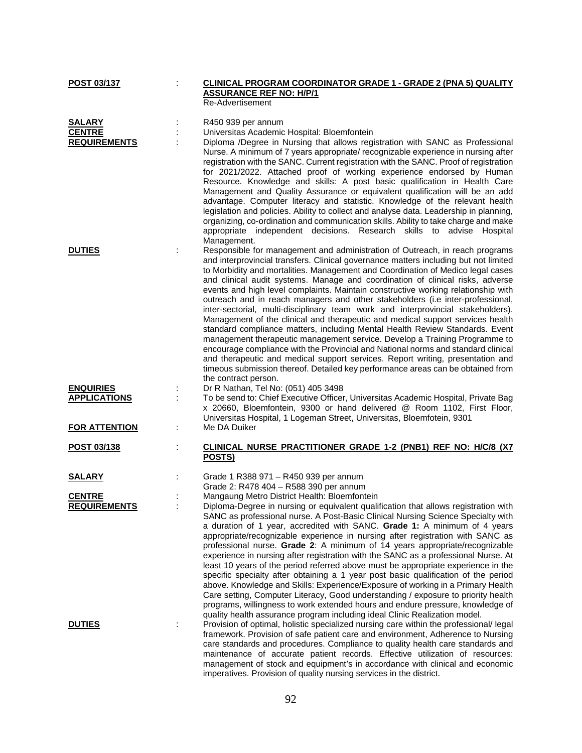| POST 03/137                          |   | CLINICAL PROGRAM COORDINATOR GRADE 1 - GRADE 2 (PNA 5) QUALITY                                                                                             |
|--------------------------------------|---|------------------------------------------------------------------------------------------------------------------------------------------------------------|
|                                      |   | <b>ASSURANCE REF NO: H/P/1</b>                                                                                                                             |
|                                      |   | Re-Advertisement                                                                                                                                           |
| <b>SALARY</b>                        |   | R450 939 per annum                                                                                                                                         |
| <b>CENTRE</b>                        |   | Universitas Academic Hospital: Bloemfontein                                                                                                                |
| <b>REQUIREMENTS</b>                  |   | Diploma /Degree in Nursing that allows registration with SANC as Professional                                                                              |
|                                      |   | Nurse. A minimum of 7 years appropriate/ recognizable experience in nursing after                                                                          |
|                                      |   | registration with the SANC. Current registration with the SANC. Proof of registration                                                                      |
|                                      |   | for 2021/2022. Attached proof of working experience endorsed by Human                                                                                      |
|                                      |   | Resource. Knowledge and skills: A post basic qualification in Health Care                                                                                  |
|                                      |   | Management and Quality Assurance or equivalent qualification will be an add                                                                                |
|                                      |   | advantage. Computer literacy and statistic. Knowledge of the relevant health                                                                               |
|                                      |   | legislation and policies. Ability to collect and analyse data. Leadership in planning,                                                                     |
|                                      |   | organizing, co-ordination and communication skills. Ability to take charge and make                                                                        |
|                                      |   | appropriate independent decisions. Research skills to advise Hospital                                                                                      |
|                                      |   | Management.                                                                                                                                                |
| <b>DUTIES</b>                        |   | Responsible for management and administration of Outreach, in reach programs                                                                               |
|                                      |   | and interprovincial transfers. Clinical governance matters including but not limited                                                                       |
|                                      |   | to Morbidity and mortalities. Management and Coordination of Medico legal cases                                                                            |
|                                      |   | and clinical audit systems. Manage and coordination of clinical risks, adverse                                                                             |
|                                      |   | events and high level complaints. Maintain constructive working relationship with                                                                          |
|                                      |   | outreach and in reach managers and other stakeholders (i.e inter-professional,                                                                             |
|                                      |   | inter-sectorial, multi-disciplinary team work and interprovincial stakeholders).                                                                           |
|                                      |   | Management of the clinical and therapeutic and medical support services health                                                                             |
|                                      |   | standard compliance matters, including Mental Health Review Standards. Event<br>management therapeutic management service. Develop a Training Programme to |
|                                      |   | encourage compliance with the Provincial and National norms and standard clinical                                                                          |
|                                      |   | and therapeutic and medical support services. Report writing, presentation and                                                                             |
|                                      |   | timeous submission thereof. Detailed key performance areas can be obtained from                                                                            |
|                                      |   | the contract person.                                                                                                                                       |
| <b>ENQUIRIES</b>                     |   | Dr R Nathan, Tel No: (051) 405 3498                                                                                                                        |
| <b>APPLICATIONS</b>                  |   | To be send to: Chief Executive Officer, Universitas Academic Hospital, Private Bag                                                                         |
|                                      |   | x 20660, Bloemfontein, 9300 or hand delivered @ Room 1102, First Floor,                                                                                    |
|                                      |   | Universitas Hospital, 1 Logeman Street, Universitas, Bloemfotein, 9301                                                                                     |
| <b>FOR ATTENTION</b>                 |   | Me DA Duiker                                                                                                                                               |
|                                      |   |                                                                                                                                                            |
| POST 03/138                          |   | CLINICAL NURSE PRACTITIONER GRADE 1-2 (PNB1) REF NO: H/C/8 (X7                                                                                             |
|                                      |   | POSTS)                                                                                                                                                     |
|                                      |   |                                                                                                                                                            |
| <b>SALARY</b>                        |   | Grade 1 R388 971 - R450 939 per annum                                                                                                                      |
|                                      |   | Grade 2: R478 404 - R588 390 per annum                                                                                                                     |
| <b>CENTRE</b><br><b>REQUIREMENTS</b> |   | Mangaung Metro District Health: Bloemfontein<br>Diploma-Degree in nursing or equivalent qualification that allows registration with                        |
|                                      |   | SANC as professional nurse. A Post-Basic Clinical Nursing Science Specialty with                                                                           |
|                                      |   | a duration of 1 year, accredited with SANC. Grade 1: A minimum of 4 years                                                                                  |
|                                      |   | appropriate/recognizable experience in nursing after registration with SANC as                                                                             |
|                                      |   | professional nurse. Grade 2: A minimum of 14 years appropriate/recognizable                                                                                |
|                                      |   | experience in nursing after registration with the SANC as a professional Nurse. At                                                                         |
|                                      |   | least 10 years of the period referred above must be appropriate experience in the                                                                          |
|                                      |   | specific specialty after obtaining a 1 year post basic qualification of the period                                                                         |
|                                      |   | above. Knowledge and Skills: Experience/Exposure of working in a Primary Health                                                                            |
|                                      |   | Care setting, Computer Literacy, Good understanding / exposure to priority health                                                                          |
|                                      |   | programs, willingness to work extended hours and endure pressure, knowledge of                                                                             |
|                                      |   | quality health assurance program including ideal Clinic Realization model.                                                                                 |
| <b>DUTIES</b>                        | t | Provision of optimal, holistic specialized nursing care within the professional/ legal                                                                     |
|                                      |   | framework. Provision of safe patient care and environment, Adherence to Nursing                                                                            |
|                                      |   | care standards and procedures. Compliance to quality health care standards and                                                                             |
|                                      |   | maintenance of accurate patient records. Effective utilization of resources:                                                                               |
|                                      |   | management of stock and equipment's in accordance with clinical and economic                                                                               |
|                                      |   | imperatives. Provision of quality nursing services in the district.                                                                                        |